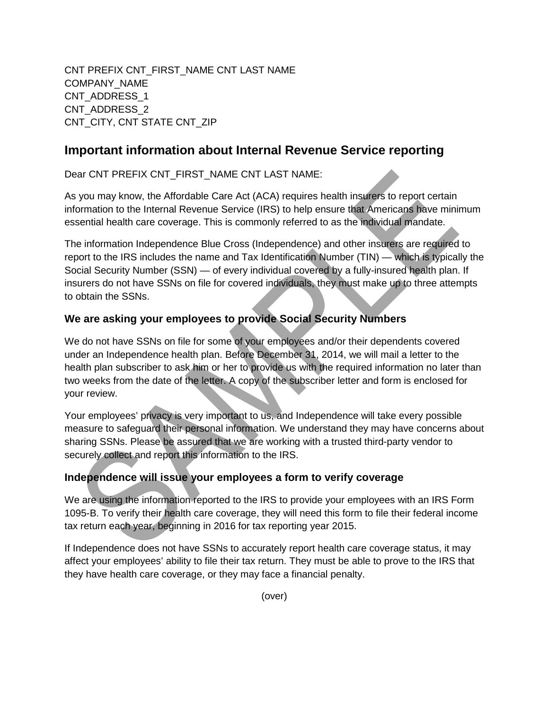CNT PREFIX CNT\_FIRST\_NAME CNT LAST NAME COMPANY\_NAME CNT\_ADDRESS\_1 CNT\_ADDRESS\_2 CNT\_CITY, CNT STATE CNT\_ZIP

## **Important information about Internal Revenue Service reporting**

Dear CNT PREFIX CNT\_FIRST\_NAME CNT LAST NAME:

As you may know, the Affordable Care Act (ACA) requires health insurers to report certain information to the Internal Revenue Service (IRS) to help ensure that Americans have minimum essential health care coverage. This is commonly referred to as the individual mandate.

The information Independence Blue Cross (Independence) and other insurers are required to report to the IRS includes the name and Tax Identification Number (TIN) — which is typically the Social Security Number (SSN) — of every individual covered by a fully-insured health plan. If insurers do not have SSNs on file for covered individuals, they must make up to three attempts to obtain the SSNs.

## **We are asking your employees to provide Social Security Numbers**

We do not have SSNs on file for some of your employees and/or their dependents covered under an Independence health plan. Before December 31, 2014, we will mail a letter to the health plan subscriber to ask him or her to provide us with the required information no later than two weeks from the date of the letter. A copy of the subscriber letter and form is enclosed for your review.

Your employees' privacy is very important to us, and Independence will take every possible measure to safeguard their personal information. We understand they may have concerns about sharing SSNs. Please be assured that we are working with a trusted third-party vendor to securely collect and report this information to the IRS.

## **Independence will issue your employees a form to verify coverage**

We are using the information reported to the IRS to provide your employees with an IRS Form 1095-B. To verify their health care coverage, they will need this form to file their federal income tax return each year, beginning in 2016 for tax reporting year 2015.

If Independence does not have SSNs to accurately report health care coverage status, it may affect your employees' ability to file their tax return. They must be able to prove to the IRS that they have health care coverage, or they may face a financial penalty.

(over)